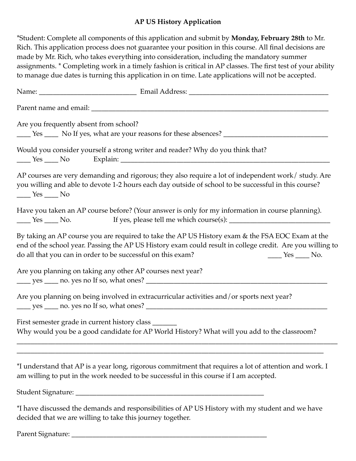#### **AP US History Application**

\*Student: Complete all components of this application and submit by **Monday, February 28th** to Mr. Rich. This application process does not guarantee your position in this course. All final decisions are made by Mr. Rich, who takes everything into consideration, including the mandatory summer assignments. \* Completing work in a timely fashion is critical in AP classes. The first test of your ability to manage due dates is turning this application in on time. Late applications will not be accepted.

| Are you frequently absent from school?<br>The Yes Theory No If yes, what are your reasons for these absences?                                                                                                                                                                             |
|-------------------------------------------------------------------------------------------------------------------------------------------------------------------------------------------------------------------------------------------------------------------------------------------|
| Would you consider yourself a strong writer and reader? Why do you think that?                                                                                                                                                                                                            |
| AP courses are very demanding and rigorous; they also require a lot of independent work/ study. Are<br>you willing and able to devote 1-2 hours each day outside of school to be successful in this course?<br>$\frac{\text{Yes}}{\text{Yes}}$ No                                         |
| Have you taken an AP course before? (Your answer is only for my information in course planning).<br>$\frac{\text{Yes}}{\text{Yes}}$ No.                                                                                                                                                   |
| By taking an AP course you are required to take the AP US History exam & the FSA EOC Exam at the<br>end of the school year. Passing the AP US History exam could result in college credit. Are you willing to<br>do all that you can in order to be successful on this exam?<br>$Yes$ No. |
| Are you planning on taking any other AP courses next year?                                                                                                                                                                                                                                |
| Are you planning on being involved in extracurricular activities and/or sports next year?                                                                                                                                                                                                 |
| First semester grade in current history class _______<br>Why would you be a good candidate for AP World History? What will you add to the classroom?                                                                                                                                      |
| *I understand that AP is a year long, rigorous commitment that requires a lot of attention and work. I<br>am willing to put in the work needed to be successful in this course if I am accepted.                                                                                          |
|                                                                                                                                                                                                                                                                                           |
| *I have discussed the demands and responsibilities of AP US History with my student and we have<br>decided that we are willing to take this journey together.                                                                                                                             |

Parent Signature: \_\_\_\_\_\_\_\_\_\_\_\_\_\_\_\_\_\_\_\_\_\_\_\_\_\_\_\_\_\_\_\_\_\_\_\_\_\_\_\_\_\_\_\_\_\_\_\_\_\_\_\_\_\_\_\_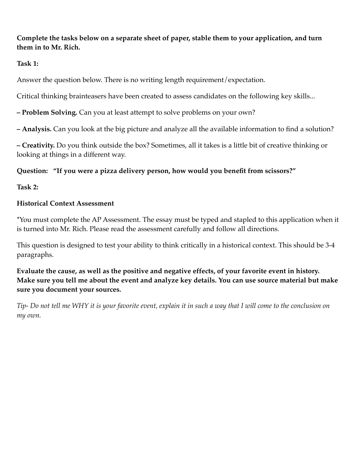**Complete the tasks below on a separate sheet of paper, stable them to your application, and turn them in to Mr. Rich.** 

### **Task 1:**

Answer the question below. There is no writing length requirement/expectation.

Critical thinking brainteasers have been created to assess candidates on the following key skills...

**– Problem Solving.** Can you at least attempt to solve problems on your own?

**– Analysis.** Can you look at the big picture and analyze all the available information to find a solution?

**– Creativity.** Do you think outside the box? Sometimes, all it takes is a little bit of creative thinking or looking at things in a different way.

# **Question: "If you were a pizza delivery person, how would you benefit from scissors?"**

**Task 2:** 

# **Historical Context Assessment**

\*You must complete the AP Assessment. The essay must be typed and stapled to this application when it is turned into Mr. Rich. Please read the assessment carefully and follow all directions.

This question is designed to test your ability to think critically in a historical context. This should be 3-4 paragraphs.

**Evaluate the cause, as well as the positive and negative effects, of your favorite event in history. Make sure you tell me about the event and analyze key details. You can use source material but make sure you document your sources.** 

*Tip- Do not tell me WHY it is your favorite event, explain it in such a way that I will come to the conclusion on my own.*